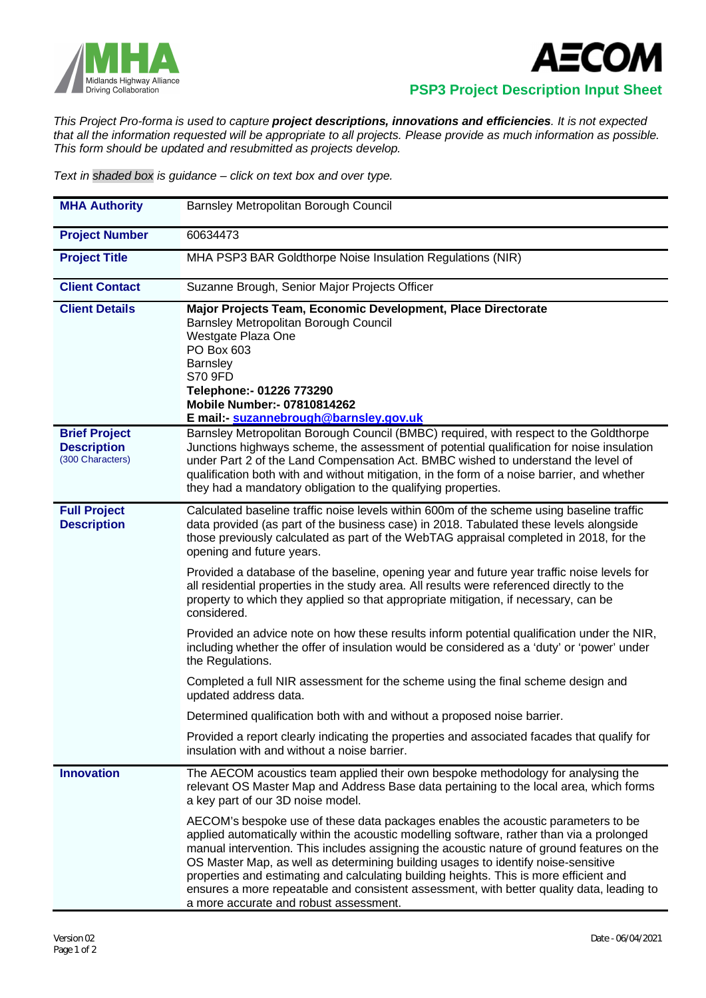



 **PSP3 Project Description Input Sheet**

*This Project Pro-forma is used to capture project descriptions, innovations and efficiencies. It is not expected that all the information requested will be appropriate to all projects. Please provide as much information as possible. This form should be updated and resubmitted as projects develop.*

*Text in shaded box is guidance – click on text box and over type.*

| <b>MHA Authority</b>                                           | Barnsley Metropolitan Borough Council                                                                                                                                                                                                                                                                                                                                                                                                                                                                                                                                                             |  |  |  |  |
|----------------------------------------------------------------|---------------------------------------------------------------------------------------------------------------------------------------------------------------------------------------------------------------------------------------------------------------------------------------------------------------------------------------------------------------------------------------------------------------------------------------------------------------------------------------------------------------------------------------------------------------------------------------------------|--|--|--|--|
| <b>Project Number</b>                                          | 60634473                                                                                                                                                                                                                                                                                                                                                                                                                                                                                                                                                                                          |  |  |  |  |
| <b>Project Title</b>                                           | MHA PSP3 BAR Goldthorpe Noise Insulation Regulations (NIR)                                                                                                                                                                                                                                                                                                                                                                                                                                                                                                                                        |  |  |  |  |
| <b>Client Contact</b>                                          | Suzanne Brough, Senior Major Projects Officer                                                                                                                                                                                                                                                                                                                                                                                                                                                                                                                                                     |  |  |  |  |
| <b>Client Details</b>                                          | Major Projects Team, Economic Development, Place Directorate<br>Barnsley Metropolitan Borough Council<br>Westgate Plaza One<br>PO Box 603<br>Barnsley<br>S70 9FD<br>Telephone:- 01226 773290<br><b>Mobile Number:- 07810814262</b><br>E mail: suzannebrough@barnsley.gov.uk                                                                                                                                                                                                                                                                                                                       |  |  |  |  |
| <b>Brief Project</b><br><b>Description</b><br>(300 Characters) | Barnsley Metropolitan Borough Council (BMBC) required, with respect to the Goldthorpe<br>Junctions highways scheme, the assessment of potential qualification for noise insulation<br>under Part 2 of the Land Compensation Act. BMBC wished to understand the level of<br>qualification both with and without mitigation, in the form of a noise barrier, and whether<br>they had a mandatory obligation to the qualifying properties.                                                                                                                                                           |  |  |  |  |
| <b>Full Project</b><br><b>Description</b>                      | Calculated baseline traffic noise levels within 600m of the scheme using baseline traffic<br>data provided (as part of the business case) in 2018. Tabulated these levels alongside<br>those previously calculated as part of the WebTAG appraisal completed in 2018, for the<br>opening and future years.                                                                                                                                                                                                                                                                                        |  |  |  |  |
|                                                                | Provided a database of the baseline, opening year and future year traffic noise levels for<br>all residential properties in the study area. All results were referenced directly to the<br>property to which they applied so that appropriate mitigation, if necessary, can be<br>considered.                                                                                                                                                                                                                                                                                                     |  |  |  |  |
|                                                                | Provided an advice note on how these results inform potential qualification under the NIR,<br>including whether the offer of insulation would be considered as a 'duty' or 'power' under<br>the Regulations.                                                                                                                                                                                                                                                                                                                                                                                      |  |  |  |  |
|                                                                | Completed a full NIR assessment for the scheme using the final scheme design and<br>updated address data.                                                                                                                                                                                                                                                                                                                                                                                                                                                                                         |  |  |  |  |
|                                                                | Determined qualification both with and without a proposed noise barrier.                                                                                                                                                                                                                                                                                                                                                                                                                                                                                                                          |  |  |  |  |
|                                                                | Provided a report clearly indicating the properties and associated facades that qualify for<br>insulation with and without a noise barrier.                                                                                                                                                                                                                                                                                                                                                                                                                                                       |  |  |  |  |
| <b>Innovation</b>                                              | The AECOM acoustics team applied their own bespoke methodology for analysing the<br>relevant OS Master Map and Address Base data pertaining to the local area, which forms<br>a key part of our 3D noise model.                                                                                                                                                                                                                                                                                                                                                                                   |  |  |  |  |
|                                                                | AECOM's bespoke use of these data packages enables the acoustic parameters to be<br>applied automatically within the acoustic modelling software, rather than via a prolonged<br>manual intervention. This includes assigning the acoustic nature of ground features on the<br>OS Master Map, as well as determining building usages to identify noise-sensitive<br>properties and estimating and calculating building heights. This is more efficient and<br>ensures a more repeatable and consistent assessment, with better quality data, leading to<br>a more accurate and robust assessment. |  |  |  |  |